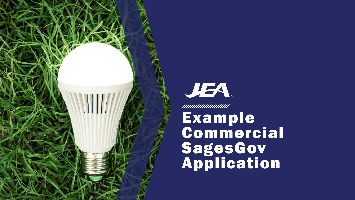



**Commercial** SagesGov Application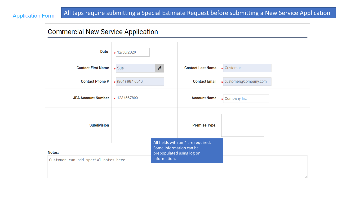**Application Form** 

## All taps require submitting a Special Estimate Request before submitting a New Service Application

| <b>Commercial New Service Application</b>      |                        |                                         |                                                                 |                        |
|------------------------------------------------|------------------------|-----------------------------------------|-----------------------------------------------------------------|------------------------|
| <b>Date</b>                                    | * 12/30/2020           |                                         |                                                                 |                        |
| <b>Contact First Name</b>                      | $\star$ Sue            | $\overline{\mathscr{E}}$                | <b>Contact Last Name</b>                                        | <b>customer</b>        |
| <b>Contact Phone #</b>                         | $\star$ (904) 987-6543 |                                         | <b>Contact Email</b>                                            | « customer@company.com |
| <b>JEA Account Number</b>                      | * 1234567890           |                                         | <b>Account Name</b>                                             | « Company Inc.         |
| <b>Subdivision</b>                             |                        |                                         | <b>Premise Type:</b>                                            |                        |
| Notes:<br>Customer can add special notes here. |                        | Some information can be<br>information. | All fields with an * are required.<br>prepopulated using log on |                        |
|                                                |                        |                                         |                                                                 |                        |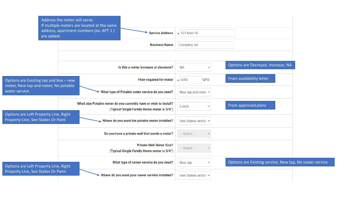| Address the meter will serve.                                                                   | If multiple meters are located at the same                                                                      |                            |                                                         |
|-------------------------------------------------------------------------------------------------|-----------------------------------------------------------------------------------------------------------------|----------------------------|---------------------------------------------------------|
| are added.                                                                                      | address, apartment numbers (ex. APT 1)<br><b>Service Address</b>                                                | $\star$ 123 Main St        |                                                         |
|                                                                                                 | <b>Business Name</b>                                                                                            | Company Inc                |                                                         |
|                                                                                                 |                                                                                                                 |                            |                                                         |
|                                                                                                 | Is this a meter increase or decrease?                                                                           | <b>NA</b>                  | Options are Decrease, Increase, NA                      |
| Options are Existing tap and box - new<br>meter, New tap and meter, No potable<br>water service | Flow required for meter                                                                                         | <b>GPD</b><br>$\star 5000$ | From availability letter                                |
|                                                                                                 | What type of Potable water service do you need?                                                                 | New tap and mete $\sim$    |                                                         |
| Options are Left Property Line, Right<br>Property Line, See Stakes Or Paint                     | What size Potable meter do you currently have or wish to install?<br>(Typical Single Family Home meter is 3/4") | 2-inch                     | From approved plans                                     |
|                                                                                                 | Where do you want the potable meter installed?                                                                  | See Stakes and/o v         |                                                         |
|                                                                                                 | Do you have a private well that needs a meter?                                                                  | -- Select --               |                                                         |
|                                                                                                 | <b>Private Well Meter Size?</b><br>(Typical Single Family Home meter is 3/4")                                   | -- Select --               |                                                         |
| Options are Left Property Line, Right<br>Property Line, See Stakes Or Paint                     | What type of sewer service do you need?                                                                         | New tap<br>$\checkmark$    | Options are Existing service, New tap, No sewer service |
|                                                                                                 | Where do you want your sewer service installed?                                                                 | See Stakes and/o v         |                                                         |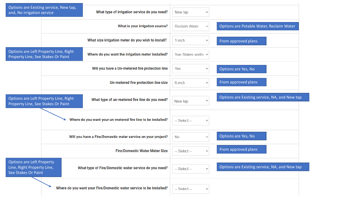| and, No irrigation service                                                            | Options are Existing service, New tap, | What type of irrigation service do you need?                        | New tap              | $\checkmark$ |                                               |
|---------------------------------------------------------------------------------------|----------------------------------------|---------------------------------------------------------------------|----------------------|--------------|-----------------------------------------------|
|                                                                                       |                                        | What is your irrigation source?                                     | <b>Reclaim Water</b> | $\checkmark$ | Options are Potable Water, Reclaim Water      |
|                                                                                       |                                        | What size irrigation meter do you wish to install?                  | $1$ -inch            | $\checkmark$ | From approved plans                           |
| Options are Left Property Line, Right<br>Property Line, See Stakes Or Paint           |                                        | Where do you want the irrigation meter installed?                   | See Stakes and/o v   |              |                                               |
|                                                                                       |                                        | Will you have a Un-metered fire protection line                     | Yes                  |              | Options are Yes, No                           |
|                                                                                       |                                        | Un-metered fire protection line size                                | 6-inch               | $\checkmark$ | From approved plans                           |
| Options are Left Property Line, Right<br>Property Line, See Stakes Or Paint           |                                        | What type of un-metered fire line do you need?                      | New tap              | $\checkmark$ | Options are Existing service, NA, and New tap |
|                                                                                       |                                        | Where do you want your un-metered fire line to be installed?        | -- Select --         | $\checkmark$ |                                               |
|                                                                                       |                                        | Will you have a Fire/Domestic water service on your project?        | <b>No</b>            | $\checkmark$ | Options are Yes, No                           |
|                                                                                       |                                        | <b>Fire/Domestic Water Meter Size</b>                               | -- Select --         | $\checkmark$ | From approved plans                           |
| <b>Options are Left Property</b><br>Line, Right Property Line,<br>See Stakes Or Paint |                                        | What type of Fire/Domestic water service do you need?               | -- Select --         | $\checkmark$ | Options are Existing service, NA, and New tap |
|                                                                                       |                                        | Where do you want your Fire/Domestic water service to be installed? | -- Select --         | $\checkmark$ |                                               |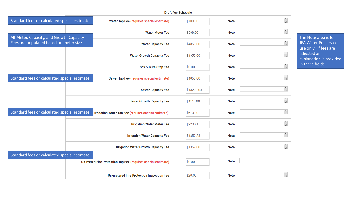|                                                                                    | <b>Draft Fee Schedule</b>                                    |                                   |            |             |                      |  |  |
|------------------------------------------------------------------------------------|--------------------------------------------------------------|-----------------------------------|------------|-------------|----------------------|--|--|
| Standard fees or calculated special estimate                                       | <b>Water Tap Fee (requires special estimate)</b>             |                                   | \$700.00   | <b>Note</b> | $\frac{1}{\sqrt{2}}$ |  |  |
|                                                                                    |                                                              | <b>Water Meter Fee</b>            | \$588.96   | <b>Note</b> |                      |  |  |
| All Meter, Capacity, and Growth Capacity<br>Fees are populated based on meter size |                                                              | <b>Water Capacity Fee</b>         | \$4850.00  | <b>Note</b> | $\frac{1}{\sqrt{2}}$ |  |  |
|                                                                                    |                                                              | <b>Water Growth Capacity Fee</b>  | \$1352.00  | <b>Note</b> | $\ast$               |  |  |
|                                                                                    |                                                              | <b>Box &amp; Curb Stop Fee</b>    | \$0.00     | <b>Note</b> |                      |  |  |
| Standard fees or calculated special estimate                                       | Sewer Tap Fee (requires special estimate)                    |                                   | \$1853.00  | <b>Note</b> |                      |  |  |
|                                                                                    |                                                              | <b>Sewer Capacity Fee</b>         | \$18200.00 | <b>Note</b> | $\frac{1}{\sqrt{2}}$ |  |  |
|                                                                                    |                                                              | <b>Sewer Growth Capacity Fee</b>  | \$1148.00  | <b>Note</b> |                      |  |  |
| Standard fees or calculated special estimate                                       | Irrigation Water Tap Fee (requires special estimate)         |                                   | \$610.00   | <b>Note</b> |                      |  |  |
|                                                                                    |                                                              | <b>Irrigation Water Meter Fee</b> | \$223.71   | <b>Note</b> | $\ddot{\bullet}$     |  |  |
|                                                                                    | <b>Irrigation Water Capacity Fee</b>                         |                                   | \$1850.28  | <b>Note</b> |                      |  |  |
|                                                                                    | <b>Irrigation Water Growth Capacity Fee</b>                  |                                   | \$1352.00  | <b>Note</b> |                      |  |  |
| Standard fees or calculated special estimate                                       |                                                              |                                   |            |             |                      |  |  |
|                                                                                    | Un-meted Fire Protection Tap Fee (requires special estimate) |                                   | \$0.00     | <b>Note</b> |                      |  |  |
|                                                                                    | <b>Un-metered Fire Protection Inspection Fee</b>             |                                   | \$20.00    | <b>Note</b> | $\frac{1}{\sqrt{2}}$ |  |  |

The Note area is for JEA Water Preservice use only. If fees are adjusted an explanation is provided in these fields.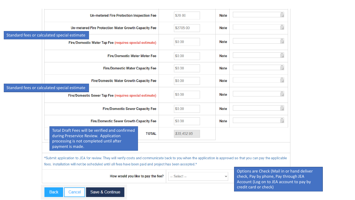| payment is made.                                                                                         |                                                                                                                                         |                                                                                                        |                                                                                                                                                                                                             |
|----------------------------------------------------------------------------------------------------------|-----------------------------------------------------------------------------------------------------------------------------------------|--------------------------------------------------------------------------------------------------------|-------------------------------------------------------------------------------------------------------------------------------------------------------------------------------------------------------------|
| Total Draft Fees will be verified and confirmed<br><b>TOTAL</b><br>during Preservice Review. Application | \$35,452.95                                                                                                                             |                                                                                                        |                                                                                                                                                                                                             |
| <b>Fire/Domestic Sewer Growth Capacity Fee</b>                                                           | \$0.00                                                                                                                                  | <b>Note</b>                                                                                            |                                                                                                                                                                                                             |
| <b>Fire/Domestic Sewer Capacity Fee</b>                                                                  | \$0.00                                                                                                                                  | <b>Note</b>                                                                                            |                                                                                                                                                                                                             |
| Fire/Domestic Sewer Tap Fee (requires special estimate)                                                  | \$0.00                                                                                                                                  | <b>Note</b>                                                                                            |                                                                                                                                                                                                             |
| <b>Fire/Domestic Water Growth Capacity Fee</b>                                                           | \$0.00                                                                                                                                  | <b>Note</b>                                                                                            |                                                                                                                                                                                                             |
| <b>Fire/Domestic Water Capacity Fee</b>                                                                  | \$0.00                                                                                                                                  | <b>Note</b>                                                                                            |                                                                                                                                                                                                             |
| <b>Fire/Domestic Water Meter Fee</b>                                                                     | \$0.00                                                                                                                                  | <b>Note</b>                                                                                            |                                                                                                                                                                                                             |
| Fire/Domestic Water Tap Fee (requires special estimate)                                                  | \$0.00                                                                                                                                  | <b>Note</b>                                                                                            |                                                                                                                                                                                                             |
| Un-metered Fire Protection Water Growth Capacity Fee                                                     | \$2705.00                                                                                                                               | <b>Note</b>                                                                                            |                                                                                                                                                                                                             |
| <b>Un-metered Fire Protection Inspection Fee</b>                                                         | \$20.00                                                                                                                                 | <b>Note</b>                                                                                            |                                                                                                                                                                                                             |
|                                                                                                          | Standard fees or calculated special estimate<br>Standard fees or calculated special estimate<br>processing is not completed until after | fees. Installation will not be scheduled until all fees have been paid and project has been accepted.* | *Submit application to JEA for review. They will verify costs and communicate back to you when the application is approved so that you can pay the applicable<br>Options are Check (Mail in or hand deliver |

Save & Continue

Cancel

**Back**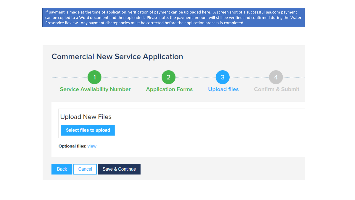If payment is made at the time of application, verification of payment can be uploaded here. A screen shot of a successful jea.com payment can be copied to a Word document and then uploaded. Please note, the payment amount will still be verified and confirmed during the Water Preservice Review. Any payment discrepancies must be corrected before the application process is completed.